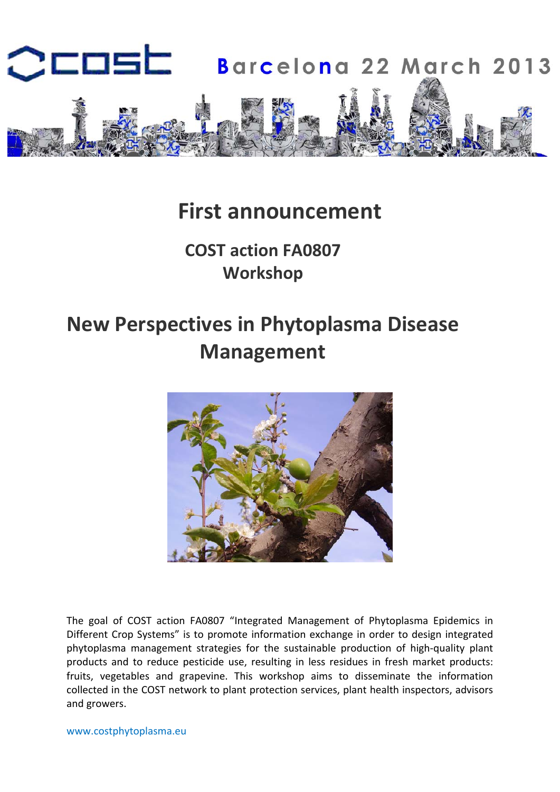

# **First announcement**

# **COST action FA0807 Workshop**

# **New Perspectives in Phytoplasma Disease Management**



The goal of COST action FA0807 "Integrated Management of Phytoplasma Epidemics in Different Crop Systems" is to promote information exchange in order to design integrated phytoplasma management strategies for the sustainable production of high‐quality plant products and to reduce pesticide use, resulting in less residues in fresh market products: fruits, vegetables and grapevine. This workshop aims to disseminate the information collected in the COST network to plant protection services, plant health inspectors, advisors and growers.

www.costphytoplasma.eu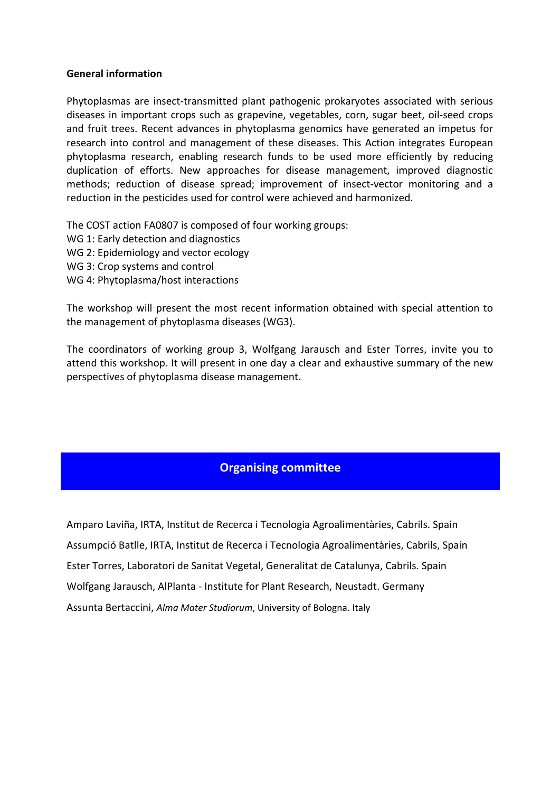#### **General information**

Phytoplasmas are insect-transmitted plant pathogenic prokaryotes associated with serious diseases in important crops such as grapevine, vegetables, corn, sugar beet, oil‐seed crops and fruit trees. Recent advances in phytoplasma genomics have generated an impetus for research into control and management of these diseases. This Action integrates European phytoplasma research, enabling research funds to be used more efficiently by reducing duplication of efforts. New approaches for disease management, improved diagnostic methods; reduction of disease spread; improvement of insect-vector monitoring and a reduction in the pesticides used for control were achieved and harmonized.

The COST action FA0807 is composed of four working groups:

- WG 1: Early detection and diagnostics
- WG 2: Epidemiology and vector ecology
- WG 3: Crop systems and control
- WG 4: Phytoplasma/host interactions

The workshop will present the most recent information obtained with special attention to the management of phytoplasma diseases (WG3).

The coordinators of working group 3, Wolfgang Jarausch and Ester Torres, invite you to attend this workshop. It will present in one day a clear and exhaustive summary of the new perspectives of phytoplasma disease management.

## **Organising committee**

Amparo Laviña, IRTA, Institut de Recerca i Tecnologia Agroalimentàries, Cabrils. Spain Assumpció Batlle, IRTA, Institut de Recerca i Tecnologia Agroalimentàries, Cabrils, Spain Ester Torres, Laboratori de Sanitat Vegetal, Generalitat de Catalunya, Cabrils. Spain Wolfgang Jarausch, AlPlanta ‐ Institute for Plant Research, Neustadt. Germany Assunta Bertaccini, *Alma Mater Studiorum*, University of Bologna. Italy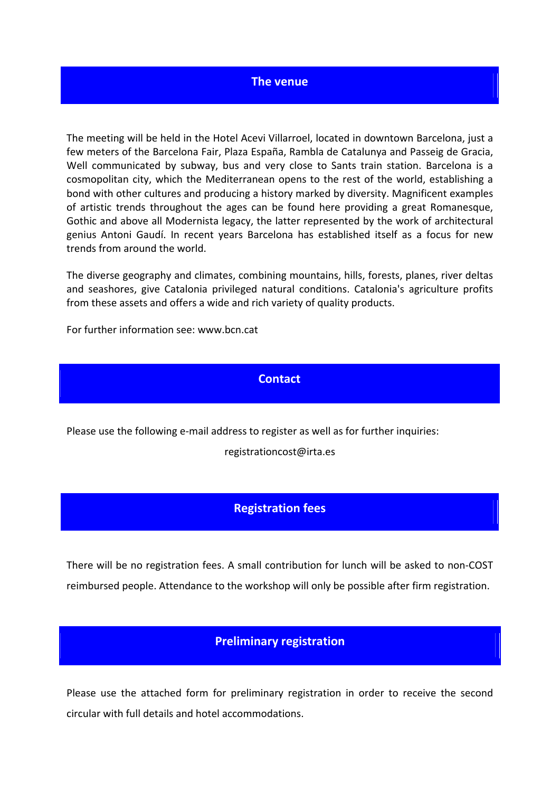#### **The venue**

The meeting will be held in the Hotel Acevi Villarroel, located in downtown Barcelona, just a few meters of the Barcelona Fair, Plaza España, Rambla de Catalunya and Passeig de Gracia, Well communicated by subway, bus and very close to Sants train station. Barcelona is a cosmopolitan city, which the Mediterranean opens to the rest of the world, establishing a bond with other cultures and producing a history marked by diversity. Magnificent examples of artistic trends throughout the ages can be found here providing a great Romanesque, Gothic and above all Modernista legacy, the latter represented by the work of architectural genius Antoni Gaudí. In recent years Barcelona has established itself as a focus for new trends from around the world.

The diverse geography and climates, combining mountains, hills, forests, planes, river deltas and seashores, give Catalonia privileged natural conditions. Catalonia's agriculture profits from these assets and offers a wide and rich variety of quality products.

For further information see: www.bcn.cat

#### **Contact**

Please use the following e‐mail address to register as well as for further inquiries:

registrationcost@irta.es

#### **Registration fees**

There will be no registration fees. A small contribution for lunch will be asked to non‐COST reimbursed people. Attendance to the workshop will only be possible after firm registration.

### **Preliminary registration**

Please use the attached form for preliminary registration in order to receive the second circular with full details and hotel accommodations.